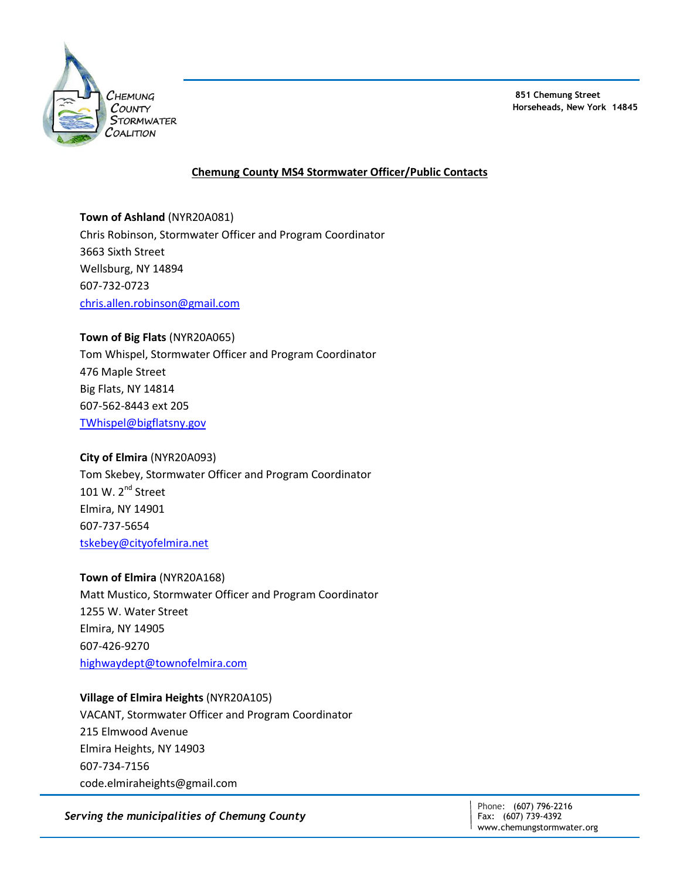

**851 Chemung Street Horseheads, New York 14845**

# **Chemung County MS4 Stormwater Officer/Public Contacts**

**Town of Ashland** (NYR20A081) Chris Robinson, Stormwater Officer and Program Coordinator 3663 Sixth Street Wellsburg, NY 14894 607-732-0723 [chris.allen.robinson@gmail.com](mailto:chris.allen.robinson@gmail.com)

#### **Town of Big Flats** (NYR20A065)

Tom Whispel, Stormwater Officer and Program Coordinator 476 Maple Street Big Flats, NY 14814 607-562-8443 ext 205 [TWhispel@bigflatsny.gov](mailto:TWhispel@bigflatsny.gov)

#### **City of Elmira** (NYR20A093)

Tom Skebey, Stormwater Officer and Program Coordinator 101 W. 2<sup>nd</sup> Street Elmira, NY 14901 607-737-5654 [tskebey@cityofelmira.net](mailto:tskebey@cityofelmira.net)

#### **Town of Elmira** (NYR20A168)

Matt Mustico, Stormwater Officer and Program Coordinator 1255 W. Water Street Elmira, NY 14905 607-426-9270 [highwaydept@townofelmira.com](mailto:highwaydept@townofelmira.com)

## **Village of Elmira Heights** (NYR20A105)

VACANT, Stormwater Officer and Program Coordinator 215 Elmwood Avenue Elmira Heights, NY 14903 607-734-7156 code.elmiraheights@gmail.com

*Serving the municipalities of Chemung County*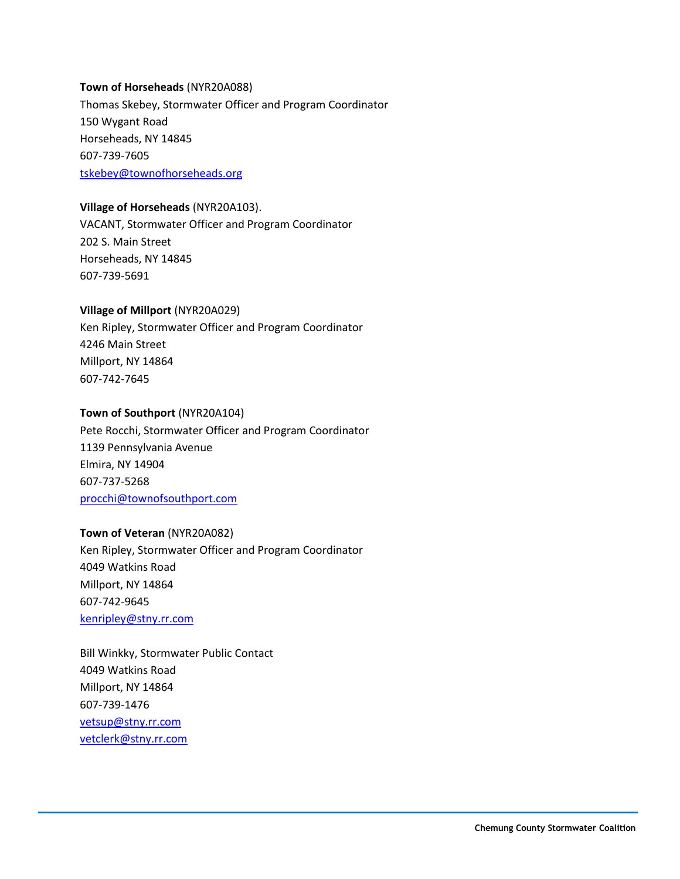# **Town of Horseheads** (NYR20A088) Thomas Skebey, Stormwater Officer and Program Coordinator 150 Wygant Road Horseheads, NY 14845 607-739-7605 [tskebey@townofhorseheads.org](mailto:tskebey@townofhorseheads.org)

## **Village of Horseheads** (NYR20A103).

VACANT, Stormwater Officer and Program Coordinator 202 S. Main Street Horseheads, NY 14845 607-739-5691

## **Village of Millport** (NYR20A029)

Ken Ripley, Stormwater Officer and Program Coordinator 4246 Main Street Millport, NY 14864 607-742-7645

## **Town of Southport** (NYR20A104)

Pete Rocchi, Stormwater Officer and Program Coordinator 1139 Pennsylvania Avenue Elmira, NY 14904 607-737-5268 [procchi@townofsouthport.com](mailto:procchi@townofsouthport.com)

## **Town of Veteran** (NYR20A082)

Ken Ripley, Stormwater Officer and Program Coordinator 4049 Watkins Road Millport, NY 14864 607-742-9645 [kenripley@stny.rr.com](mailto:kenripley@stny.rr.com)

Bill Winkky, Stormwater Public Contact 4049 Watkins Road Millport, NY 14864 607-739-1476 [vetsup@stny.rr.com](mailto:vetsup@stny.rr.com) [vetclerk@stny.rr.com](mailto:vetclerk@stny.rr.com)